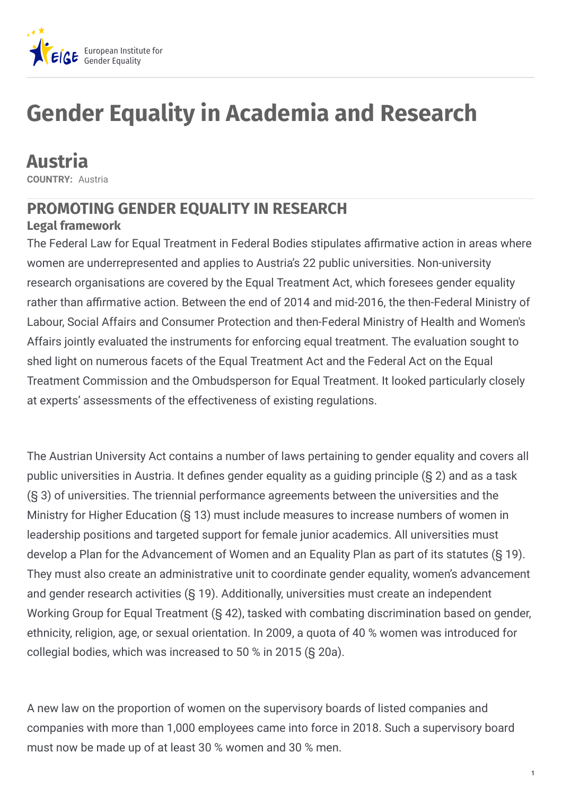

# **Gender Equality in Academia and Research**

**Austria COUNTRY:** Austria

## **PROMOTING GENDER EQUALITY IN RESEARCH**

### **Legal framework**

The Federal Law for Equal Treatment in Federal Bodies stipulates affirmative action in areas where women are underrepresented and applies to Austria's 22 public universities. Non-university research organisations are covered by the Equal Treatment Act, which foresees gender equality rather than affirmative action. Between the end of 2014 and mid-2016, the then-Federal Ministry of Labour, Social Affairs and Consumer Protection and then-Federal Ministry of Health and Women's Affairs jointly evaluated the instruments for enforcing equal treatment. The evaluation sought to shed light on numerous facets of the Equal Treatment Act and the Federal Act on the Equal Treatment Commission and the Ombudsperson for Equal Treatment. It looked particularly closely at experts' assessments of the effectiveness of existing regulations.

The Austrian University Act contains a number of laws pertaining to gender equality and covers all public universities in Austria. It defines gender equality as a guiding principle  $(S<sub>2</sub>)$  and as a task (§ 3) of universities. The triennial performance agreements between the universities and the Ministry for Higher Education (§ 13) must include measures to increase numbers of women in leadership positions and targeted support for female junior academics. All universities must develop a Plan for the Advancement of Women and an Equality Plan as part of its statutes (§ 19). They must also create an administrative unit to coordinate gender equality, women's advancement and gender research activities (§ 19). Additionally, universities must create an independent Working Group for Equal Treatment (§ 42), tasked with combating discrimination based on gender, ethnicity, religion, age, or sexual orientation. In 2009, a quota of 40 % women was introduced for collegial bodies, which was increased to 50 % in 2015 (§ 20a).

A new law on the proportion of women on the supervisory boards of listed companies and companies with more than 1,000 employees came into force in 2018. Such a supervisory board must now be made up of at least 30 % women and 30 % men.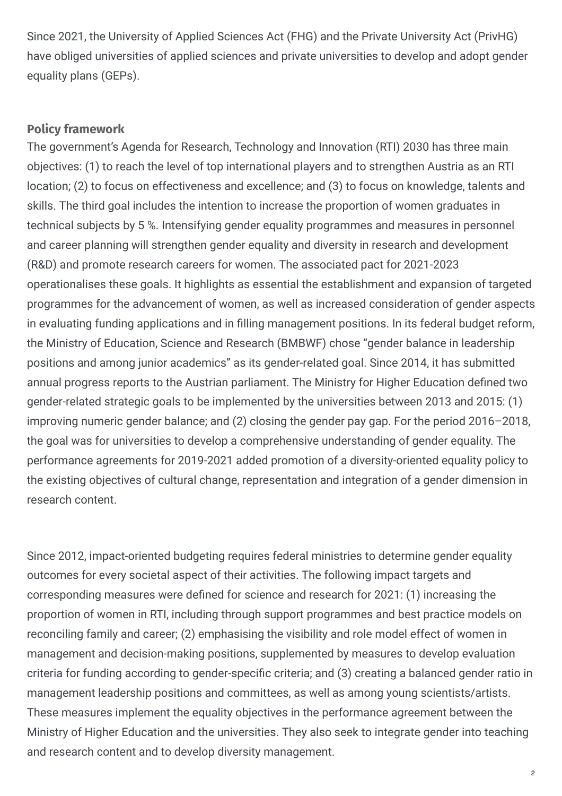Since 2021, the University of Applied Sciences Act (FHG) and the Private University Act (PrivHG) have obliged universities of applied sciences and private universities to develop and adopt gender equality plans (GEPs).

#### **Policy framework**

The government's Agenda for Research, Technology and Innovation (RTI) 2030 has three main objectives: (1) to reach the level of top international players and to strengthen Austria as an RTI location; (2) to focus on effectiveness and excellence; and (3) to focus on knowledge, talents and skills. The third goal includes the intention to increase the proportion of women graduates in technical subjects by 5 %. Intensifying gender equality programmes and measures in personnel and career planning will strengthen gender equality and diversity in research and development (R&D) and promote research careers for women. The associated pact for 2021-2023 operationalises these goals. It highlights as essential the establishment and expansion of targeted programmes for the advancement of women, as well as increased consideration of gender aspects in evaluating funding applications and in filling management positions. In its federal budget reform, the Ministry of Education, Science and Research (BMBWF) chose "gender balance in leadership positions and among junior academics" as its gender-related goal. Since 2014, it has submitted annual progress reports to the Austrian parliament. The Ministry for Higher Education defined two gender-related strategic goals to be implemented by the universities between 2013 and 2015: (1) improving numeric gender balance; and (2) closing the gender pay gap. For the period 2016–2018, the goal was for universities to develop a comprehensive understanding of gender equality. The performance agreements for 2019-2021 added promotion of a diversity-oriented equality policy to the existing objectives of cultural change, representation and integration of a gender dimension in research content.

Since 2012, impact-oriented budgeting requires federal ministries to determine gender equality outcomes for every societal aspect of their activities. The following impact targets and corresponding measures were defined for science and research for 2021: (1) increasing the proportion of women in RTI, including through support programmes and best practice models on reconciling family and career; (2) emphasising the visibility and role model effect of women in management and decision-making positions, supplemented by measures to develop evaluation criteria for funding according to gender-specific criteria; and (3) creating a balanced gender ratio in management leadership positions and committees, as well as among young scientists/artists. These measures implement the equality objectives in the performance agreement between the Ministry of Higher Education and the universities. They also seek to integrate gender into teaching and research content and to develop diversity management.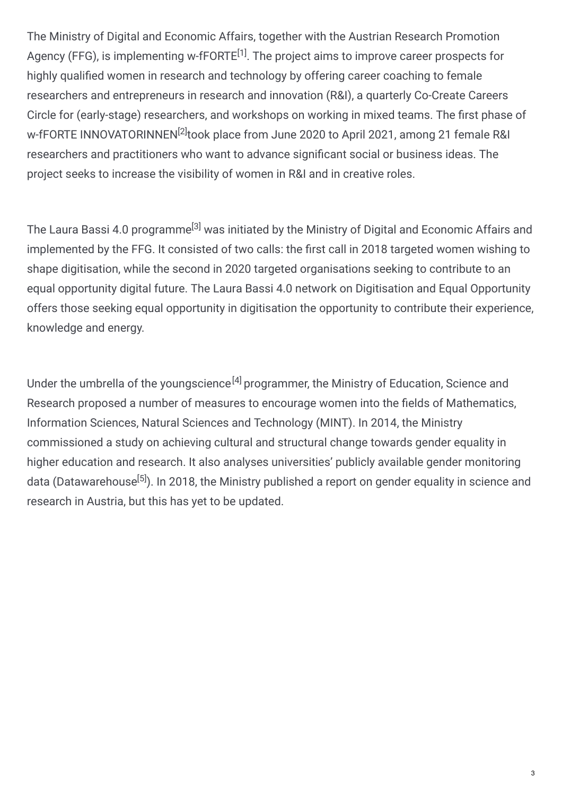The Ministry of Digital and Economic Affairs, together with the Austrian Research Promotion Agency (FFG), is implementing w-fFORTE<sup>[1]</sup>. The project aims to improve career prospects for highly qualified women in research and technology by offering career coaching to female researchers and entrepreneurs in research and innovation (R&I), a quarterly Co-Create Careers Circle for (early-stage) researchers, and workshops on working in mixed teams. The first phase of w-fFORTE INNOVATORINNEN<sup>[2]</sup>took place from June 2020 to April 2021, among 21 female R&I researchers and practitioners who want to advance significant social or business ideas. The project seeks to increase the visibility of women in R&I and in creative roles.

The Laura Bassi 4.0 programme<sup>[3]</sup> was initiated by the Ministry of Digital and Economic Affairs and implemented by the FFG. It consisted of two calls: the first call in 2018 targeted women wishing to shape digitisation, while the second in 2020 targeted organisations seeking to contribute to an equal opportunity digital future. The Laura Bassi 4.0 network on Digitisation and Equal Opportunity offers those seeking equal opportunity in digitisation the opportunity to contribute their experience, knowledge and energy.

Under the umbrella of the youngscience<sup>[4]</sup> programmer, the Ministry of Education, Science and Research proposed a number of measures to encourage women into the fields of Mathematics, Information Sciences, Natural Sciences and Technology (MINT). In 2014, the Ministry commissioned a study on achieving cultural and structural change towards gender equality in higher education and research. It also analyses universities' publicly available gender monitoring data (Datawarehouse<sup>[5]</sup>). In 2018, the Ministry published a report on gender equality in science and research in Austria, but this has yet to be updated.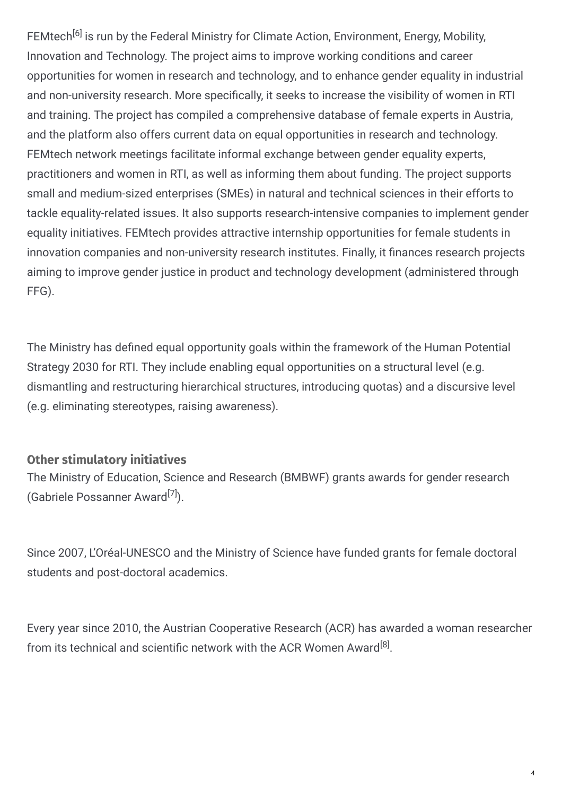FEMtech<sup>[6]</sup> is run by the Federal Ministry for Climate Action, Environment, Energy, Mobility, Innovation and Technology. The project aims to improve working conditions and career opportunities for women in research and technology, and to enhance gender equality in industrial and non-university research. More specifically, it seeks to increase the visibility of women in RTI and training. The project has compiled a comprehensive database of female experts in Austria, and the platform also offers current data on equal opportunities in research and technology. FEMtech network meetings facilitate informal exchange between gender equality experts, practitioners and women in RTI, as well as informing them about funding. The project supports small and medium-sized enterprises (SMEs) in natural and technical sciences in their efforts to tackle equality-related issues. It also supports research-intensive companies to implement gender equality initiatives. FEMtech provides attractive internship opportunities for female students in innovation companies and non-university research institutes. Finally, it finances research projects aiming to improve gender justice in product and technology development (administered through FFG).

The Ministry has defined equal opportunity goals within the framework of the Human Potential Strategy 2030 for RTI. They include enabling equal opportunities on a structural level (e.g. dismantling and restructuring hierarchical structures, introducing quotas) and a discursive level (e.g. eliminating stereotypes, raising awareness).

### **Other stimulatory initiatives**

The Ministry of Education, Science and Research (BMBWF) grants awards for gender research (Gabriele Possanner Award<sup>[7]</sup>).

Since 2007, L'Oréal-UNESCO and the Ministry of Science have funded grants for female doctoral students and post-doctoral academics.

Every year since 2010, the Austrian Cooperative Research (ACR) has awarded a woman researcher from its technical and scientific network with the ACR Women Award<sup>[8]</sup>.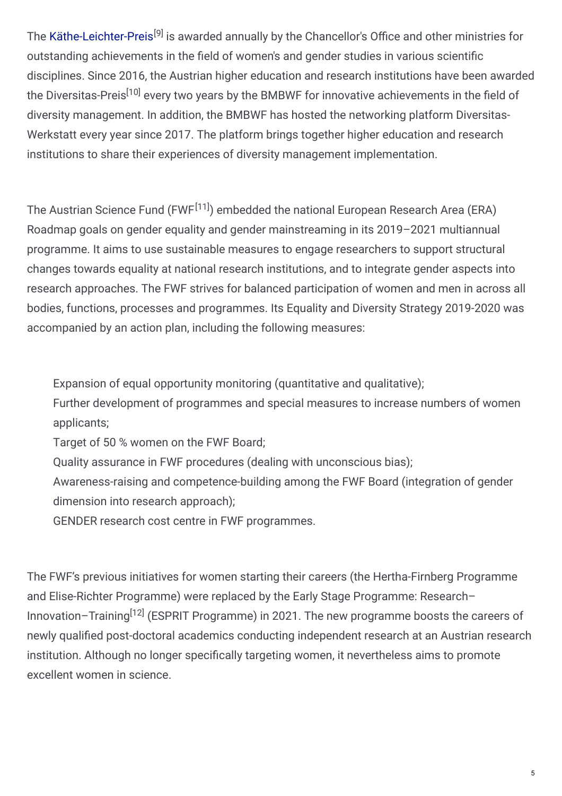The [Käthe-Leichter-Preis](https://www.bundeskanzleramt.gv.at/agenda/frauen-und-gleichstellung/preise/kaethe-leichter-preis.html)<sup>[9]</sup> is awarded annually by the Chancellor's Office and other ministries for outstanding achievements in the field of women's and gender studies in various scientific disciplines. Since 2016, the Austrian higher education and research institutions have been awarded the Diversitas-Preis<sup>[10]</sup> every two years by the BMBWF for innovative achievements in the field of diversity management. In addition, the BMBWF has hosted the networking platform Diversitas-Werkstatt every year since 2017. The platform brings together higher education and research institutions to share their experiences of diversity management implementation.

The Austrian Science Fund (FWF<sup>[11]</sup>) embedded the national European Research Area (ERA) Roadmap goals on gender equality and gender mainstreaming in its 2019–2021 multiannual programme. It aims to use sustainable measures to engage researchers to support structural changes towards equality at national research institutions, and to integrate gender aspects into research approaches. The FWF strives for balanced participation of women and men in across all bodies, functions, processes and programmes. Its Equality and Diversity Strategy 2019-2020 was accompanied by an action plan, including the following measures:

Expansion of equal opportunity monitoring (quantitative and qualitative);

Further development of programmes and special measures to increase numbers of women applicants;

Target of 50 % women on the FWF Board;

Quality assurance in FWF procedures (dealing with unconscious bias);

Awareness-raising and competence-building among the FWF Board (integration of gender dimension into research approach);

GENDER research cost centre in FWF programmes.

The FWF's previous initiatives for women starting their careers (the Hertha-Firnberg Programme and Elise-Richter Programme) were replaced by the Early Stage Programme: Research– Innovation–Training<sup>[12]</sup> (ESPRIT Programme) in 2021. The new programme boosts the careers of newly qualified post-doctoral academics conducting independent research at an Austrian research institution. Although no longer specifically targeting women, it nevertheless aims to promote excellent women in science.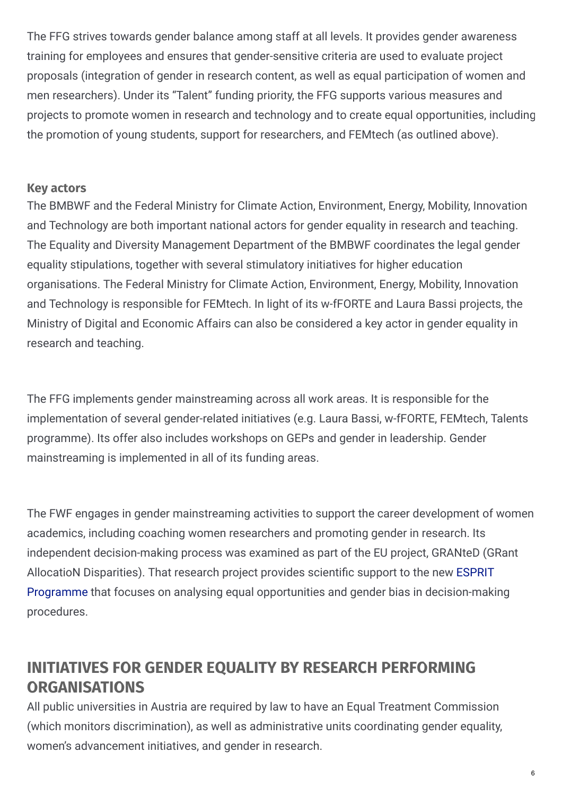The FFG strives towards gender balance among staff at all levels. It provides gender awareness training for employees and ensures that gender-sensitive criteria are used to evaluate project proposals (integration of gender in research content, as well as equal participation of women and men researchers). Under its "Talent" funding priority, the FFG supports various measures and projects to promote women in research and technology and to create equal opportunities, including the promotion of young students, support for researchers, and FEMtech (as outlined above).

### **Key actors**

The BMBWF and the Federal Ministry for Climate Action, Environment, Energy, Mobility, Innovation and Technology are both important national actors for gender equality in research and teaching. The Equality and Diversity Management Department of the BMBWF coordinates the legal gender equality stipulations, together with several stimulatory initiatives for higher education organisations. The Federal Ministry for Climate Action, Environment, Energy, Mobility, Innovation and Technology is responsible for FEMtech. In light of its w-fFORTE and Laura Bassi projects, the Ministry of Digital and Economic Affairs can also be considered a key actor in gender equality in research and teaching.

The FFG implements gender mainstreaming across all work areas. It is responsible for the implementation of several gender-related initiatives (e.g. Laura Bassi, w-fFORTE, FEMtech, Talents programme). Its offer also includes workshops on GEPs and gender in leadership. Gender mainstreaming is implemented in all of its funding areas.

The FWF engages in gender mainstreaming activities to support the career development of women academics, including coaching women researchers and promoting gender in research. Its independent decision-making process was examined as part of the EU project, GRANteD (GRant AllocatioN Disparities). That research project provides scientific support to the new ESPRIT Programme that focuses on analysing equal opportunities and gender bias in [decision-mak](https://www.fwf.ac.at/en/news-and-media-relations/news/detail/nid/20210408)ing procedures.

### **INITIATIVES FOR GENDER EQUALITY BY RESEARCH PERFORMING ORGANISATIONS**

All public universities in Austria are required by law to have an Equal Treatment Commission (which monitors discrimination), as well as administrative units coordinating gender equality, women's advancement initiatives, and gender in research.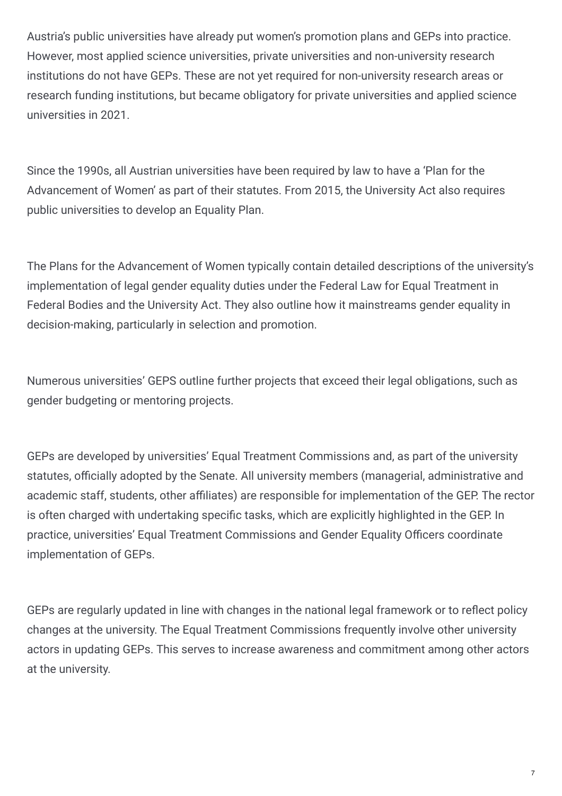Austria's public universities have already put women's promotion plans and GEPs into practice. However, most applied science universities, private universities and non-university research institutions do not have GEPs. These are not yet required for non-university research areas or research funding institutions, but became obligatory for private universities and applied science universities in 2021.

Since the 1990s, all Austrian universities have been required by law to have a 'Plan for the Advancement of Women' as part of their statutes. From 2015, the University Act also requires public universities to develop an Equality Plan.

The Plans for the Advancement of Women typically contain detailed descriptions of the university's implementation of legal gender equality duties under the Federal Law for Equal Treatment in Federal Bodies and the University Act. They also outline how it mainstreams gender equality in decision-making, particularly in selection and promotion.

Numerous universities' GEPS outline further projects that exceed their legal obligations, such as gender budgeting or mentoring projects.

GEPs are developed by universities' Equal Treatment Commissions and, as part of the university statutes, officially adopted by the Senate. All university members (managerial, administrative and academic staff, students, other affiliates) are responsible for implementation of the GEP. The rector is often charged with undertaking specific tasks, which are explicitly highlighted in the GEP. In practice, universities' Equal Treatment Commissions and Gender Equality Officers coordinate implementation of GEPs.

GEPs are regularly updated in line with changes in the national legal framework or to reflect policy changes at the university. The Equal Treatment Commissions frequently involve other university actors in updating GEPs. This serves to increase awareness and commitment among other actors at the university.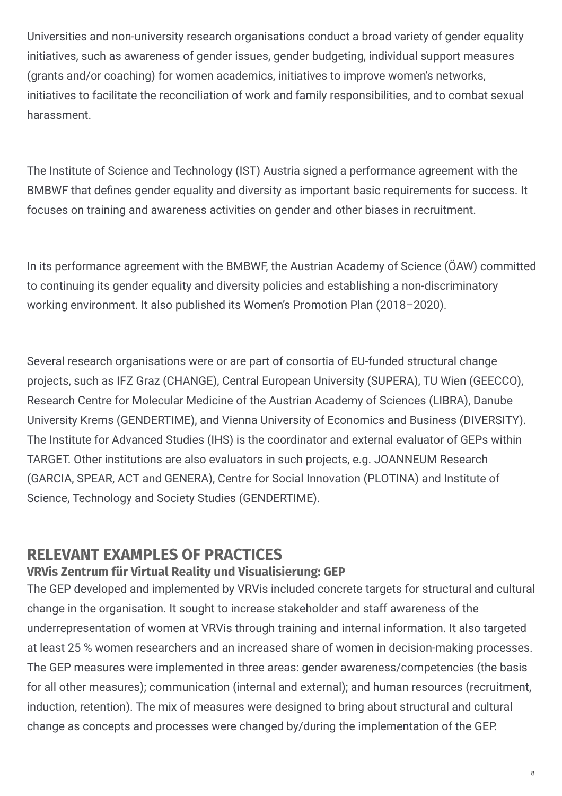Universities and non-university research organisations conduct a broad variety of gender equality initiatives, such as awareness of gender issues, gender budgeting, individual support measures (grants and/or coaching) for women academics, initiatives to improve women's networks, initiatives to facilitate the reconciliation of work and family responsibilities, and to combat sexual harassment.

The Institute of Science and Technology (IST) Austria signed a performance agreement with the BMBWF that defines gender equality and diversity as important basic requirements for success. It focuses on training and awareness activities on gender and other biases in recruitment.

In its performance agreement with the BMBWF, the Austrian Academy of Science (ÖAW) committed to continuing its gender equality and diversity policies and establishing a non-discriminatory working environment. It also published its Women's Promotion Plan (2018–2020).

Several research organisations were or are part of consortia of EU-funded structural change projects, such as IFZ Graz (CHANGE), Central European University (SUPERA), TU Wien (GEECCO), Research Centre for Molecular Medicine of the Austrian Academy of Sciences (LIBRA), Danube University Krems (GENDERTIME), and Vienna University of Economics and Business (DIVERSITY). The Institute for Advanced Studies (IHS) is the coordinator and external evaluator of GEPs within TARGET. Other institutions are also evaluators in such projects, e.g. JOANNEUM Research (GARCIA, SPEAR, ACT and GENERA), Centre for Social Innovation (PLOTINA) and Institute of Science, Technology and Society Studies (GENDERTIME).

### **RELEVANT EXAMPLES OF PRACTICES**

### **VRVis Zentrum für Virtual Reality und Visualisierung: GEP**

The GEP developed and implemented by VRVis included concrete targets for structural and cultural change in the organisation. It sought to increase stakeholder and staff awareness of the underrepresentation of women at VRVis through training and internal information. It also targeted at least 25 % women researchers and an increased share of women in decision-making processes. The GEP measures were implemented in three areas: gender awareness/competencies (the basis for all other measures); communication (internal and external); and human resources (recruitment, induction, retention). The mix of measures were designed to bring about structural and cultural change as concepts and processes were changed by/during the implementation of the GEP.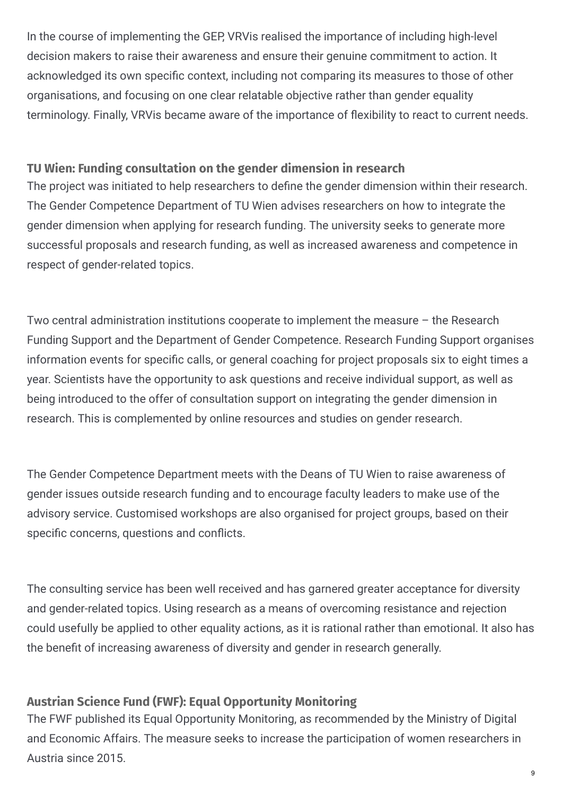In the course of implementing the GEP, VRVis realised the importance of including high-level decision makers to raise their awareness and ensure their genuine commitment to action. It acknowledged its own specific context, including not comparing its measures to those of other organisations, and focusing on one clear relatable objective rather than gender equality terminology. Finally, VRVis became aware of the importance of flexibility to react to current needs.

#### **TU Wien: Funding consultation on the gender dimension in research**

The project was initiated to help researchers to define the gender dimension within their research. The Gender Competence Department of TU Wien advises researchers on how to integrate the gender dimension when applying for research funding. The university seeks to generate more successful proposals and research funding, as well as increased awareness and competence in respect of gender-related topics.

Two central administration institutions cooperate to implement the measure – the Research Funding Support and the Department of Gender Competence. Research Funding Support organises information events for specific calls, or general coaching for project proposals six to eight times a year. Scientists have the opportunity to ask questions and receive individual support, as well as being introduced to the offer of consultation support on integrating the gender dimension in research. This is complemented by online resources and studies on gender research.

The Gender Competence Department meets with the Deans of TU Wien to raise awareness of gender issues outside research funding and to encourage faculty leaders to make use of the advisory service. Customised workshops are also organised for project groups, based on their specific concerns, questions and conflicts.

The consulting service has been well received and has garnered greater acceptance for diversity and gender-related topics. Using research as a means of overcoming resistance and rejection could usefully be applied to other equality actions, as it is rational rather than emotional. It also has the benefit of increasing awareness of diversity and gender in research generally.

### **Austrian Science Fund (FWF): Equal Opportunity Monitoring**

The FWF published its Equal Opportunity Monitoring, as recommended by the Ministry of Digital and Economic Affairs. The measure seeks to increase the participation of women researchers in Austria since 2015.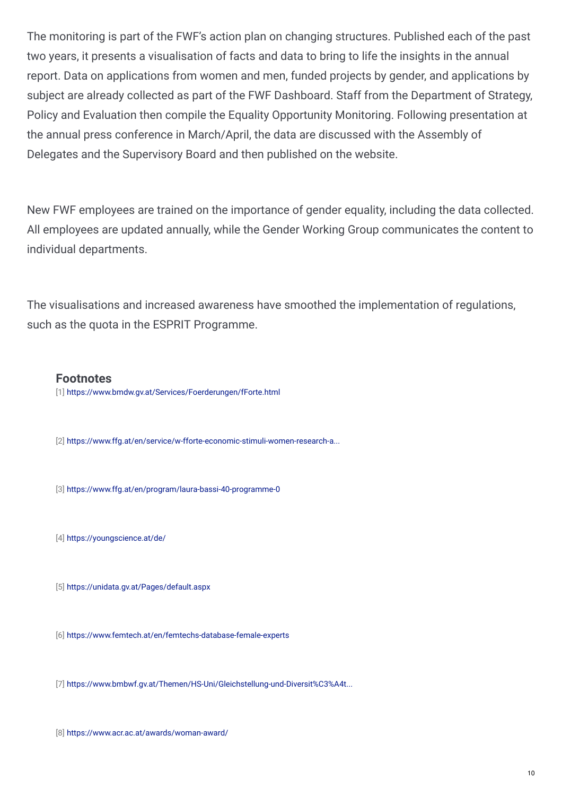The monitoring is part of the FWF's action plan on changing structures. Published each of the past two years, it presents a visualisation of facts and data to bring to life the insights in the annual report. Data on applications from women and men, funded projects by gender, and applications by subject are already collected as part of the FWF Dashboard. Staff from the Department of Strategy, Policy and Evaluation then compile the Equality Opportunity Monitoring. Following presentation at the annual press conference in March/April, the data are discussed with the Assembly of Delegates and the Supervisory Board and then published on the website.

New FWF employees are trained on the importance of gender equality, including the data collected. All employees are updated annually, while the Gender Working Group communicates the content to individual departments.

The visualisations and increased awareness have smoothed the implementation of regulations, such as the quota in the ESPRIT Programme.

#### **Footnotes**

[1] <https://www.bmdw.gv.at/Services/Foerderungen/fForte.html>

[2] [https://www.ffg.at/en/service/w-fforte-economic-stimuli-women-research-a...](https://www.ffg.at/en/service/w-fforte-economic-stimuli-women-research-and-technology)

[3] <https://www.ffg.at/en/program/laura-bassi-40-programme-0>

[4] <https://youngscience.at/de/>

[5] <https://unidata.gv.at/Pages/default.aspx>

[6] <https://www.femtech.at/en/femtechs-database-female-experts>

[7] [https://www.bmbwf.gv.at/Themen/HS-Uni/Gleichstellung-und-Diversit%C3%A4t...](https://www.bmbwf.gv.at/Themen/HS-Uni/Gleichstellung-und-Diversit%C3%A4t/Policy-und-Ma%C3%9Fnahmen/Dreigliedriges-Gleichstellungsziel/Fix-the-knowledge---Verankerung-der-Genderdimension-in-der-Forschung-und-Lehre/Gabriele-Possanner-Staats--und-F%C3%B6rderungspreis.html)

[8] <https://www.acr.ac.at/awards/woman-award/>